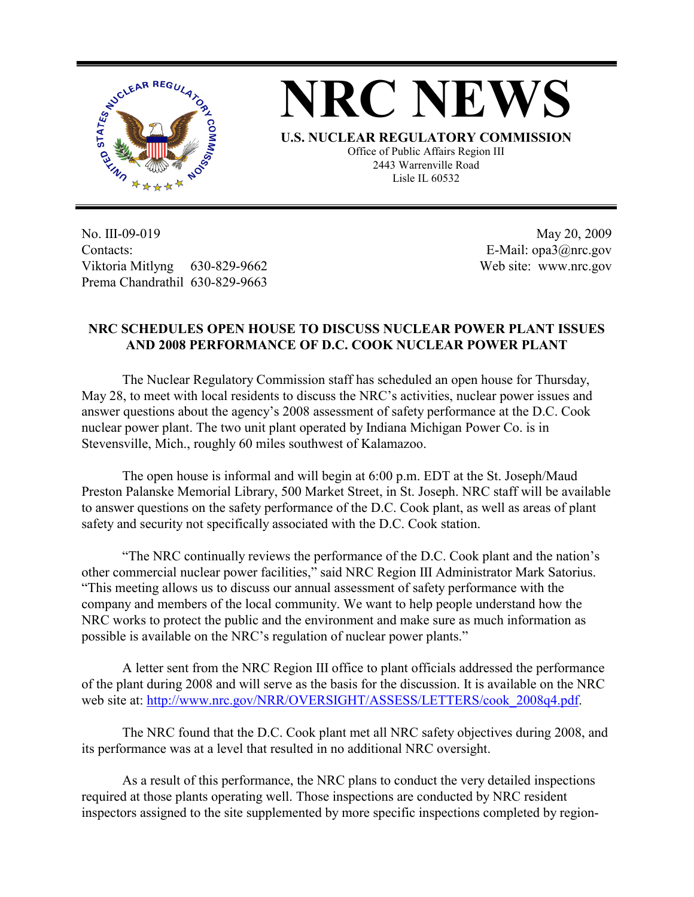



**U.S. NUCLEAR REGULATORY COMMISSION** Office of Public Affairs Region III 2443 Warrenville Road Lisle IL 60532

No. III-09-019 Contacts: Viktoria Mitlyng 630-829-9662 Prema Chandrathil 630-829-9663

 May 20, 2009 E-Mail: opa3@nrc.gov Web site: www.nrc.gov

## **NRC SCHEDULES OPEN HOUSE TO DISCUSS NUCLEAR POWER PLANT ISSUES AND 2008 PERFORMANCE OF D.C. COOK NUCLEAR POWER PLANT**

The Nuclear Regulatory Commission staff has scheduled an open house for Thursday, May 28, to meet with local residents to discuss the NRC's activities, nuclear power issues and answer questions about the agency's 2008 assessment of safety performance at the D.C. Cook nuclear power plant. The two unit plant operated by Indiana Michigan Power Co. is in Stevensville, Mich., roughly 60 miles southwest of Kalamazoo.

 The open house is informal and will begin at 6:00 p.m. EDT at the St. Joseph/Maud Preston Palanske Memorial Library, 500 Market Street, in St. Joseph. NRC staff will be available to answer questions on the safety performance of the D.C. Cook plant, as well as areas of plant safety and security not specifically associated with the D.C. Cook station.

 "The NRC continually reviews the performance of the D.C. Cook plant and the nation's other commercial nuclear power facilities," said NRC Region III Administrator Mark Satorius. "This meeting allows us to discuss our annual assessment of safety performance with the company and members of the local community. We want to help people understand how the NRC works to protect the public and the environment and make sure as much information as possible is available on the NRC's regulation of nuclear power plants."

 A letter sent from the NRC Region III office to plant officials addressed the performance of the plant during 2008 and will serve as the basis for the discussion. It is available on the NRC web site at: http://www.nrc.gov/NRR/OVERSIGHT/ASSESS/LETTERS/cook\_2008q4.pdf.

 The NRC found that the D.C. Cook plant met all NRC safety objectives during 2008, and its performance was at a level that resulted in no additional NRC oversight.

 As a result of this performance, the NRC plans to conduct the very detailed inspections required at those plants operating well. Those inspections are conducted by NRC resident inspectors assigned to the site supplemented by more specific inspections completed by region